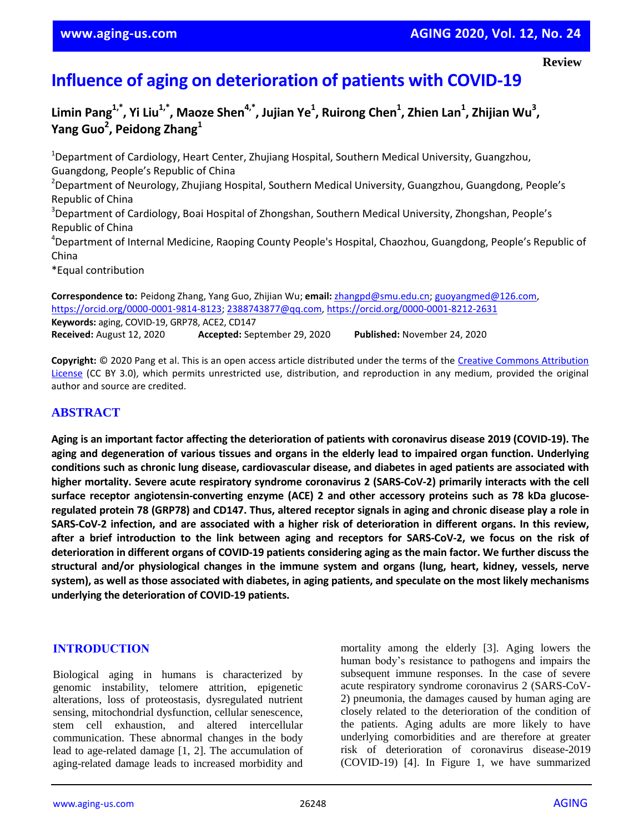#### **Review**

# **Influence of aging on deterioration of patients with COVID-19**

**Limin Pang1,\*, Yi Liu1,\*, Maoze Shen4,\*, Jujian Ye<sup>1</sup> , Ruirong Chen<sup>1</sup> , Zhien Lan<sup>1</sup> , Zhijian Wu<sup>3</sup> , Yang Guo<sup>2</sup> , Peidong Zhang<sup>1</sup>**

<sup>1</sup>Department of Cardiology, Heart Center, Zhujiang Hospital, Southern Medical University, Guangzhou, Guangdong, People's Republic of China <sup>2</sup>Department of Neurology, Zhujiang Hospital, Southern Medical University, Guangzhou, Guangdong, People's Republic of China <sup>3</sup>Department of Cardiology, Boai Hospital of Zhongshan, Southern Medical University, Zhongshan, People's Republic of China <sup>4</sup>Department of Internal Medicine, Raoping County People's Hospital, Chaozhou, Guangdong, People's Republic of China \*Equal contribution

**Correspondence to:** Peidong Zhang, Yang Guo, Zhijian Wu; **email:** zhangpd@smu.edu.cn; guoyangmed@126.com, https://orcid.org/0000-0001-9814-8123; 2388743877@qq.com, https://orcid.org/0000-0001-8212-2631 **Keywords:** aging, COVID-19, GRP78, ACE2, CD147 **Received:** August 12, 2020 **Accepted:** September 29, 2020 **Published:** November 24, 2020

**Copyright:** © 2020 Pang et al. This is an open access article distributed under the terms of the Creative Commons Attribution License (CC BY 3.0), which permits unrestricted use, distribution, and reproduction in any medium, provided the original author and source are credited.

## **ABSTRACT**

Aging is an important factor affecting the deterioration of patients with coronavirus disease 2019 (COVID-19). The aging and degeneration of various tissues and organs in the elderly lead to impaired organ function. Underlying conditions such as chronic lung disease, cardiovascular disease, and diabetes in aged patients are associated with **higher mortality. Severe acute respiratory syndrome coronavirus 2 (SARS-CoV-2) primarily interacts with the cell surface receptor angiotensin-converting enzyme (ACE) 2 and other accessory proteins such as 78 kDa glucose**regulated protein 78 (GRP78) and CD147. Thus, altered receptor signals in aging and chronic disease play a role in SARS-CoV-2 infection, and are associated with a higher risk of deterioration in different organs. In this review, after a brief introduction to the link between aging and receptors for SARS-CoV-2, we focus on the risk of deterioration in different organs of COVID-19 patients considering aging as the main factor. We further discuss the **structural and/or physiological changes in the immune system and organs (lung, heart, kidney, vessels, nerve** system), as well as those associated with diabetes, in aging patients, and speculate on the most likely mechanisms **underlying the deterioration of COVID-19 patients.**

#### **INTRODUCTION**

Biological aging in humans is characterized by genomic instability, telomere attrition, epigenetic alterations, loss of proteostasis, dysregulated nutrient sensing, mitochondrial dysfunction, cellular senescence, stem cell exhaustion, and altered intercellular communication. These abnormal changes in the body lead to age-related damage [1, 2]. The accumulation of aging-related damage leads to increased morbidity and

mortality among the elderly [3]. Aging lowers the human body's resistance to pathogens and impairs the subsequent immune responses. In the case of severe acute respiratory syndrome coronavirus 2 (SARS-CoV-2) pneumonia, the damages caused by human aging are closely related to the deterioration of the condition of the patients. Aging adults are more likely to have underlying comorbidities and are therefore at greater risk of deterioration of coronavirus disease-2019 (COVID-19) [4]. In Figure 1, we have summarized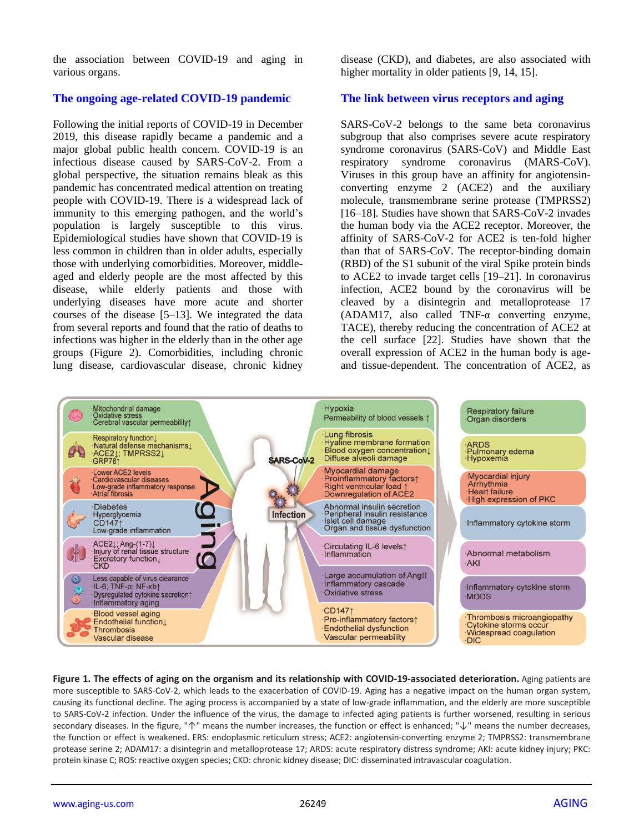the association between COVID-19 and aging in various organs.

#### **The ongoing age-related COVID-19 pandemic**

Following the initial reports of COVID-19 in December 2019, this disease rapidly became a pandemic and a major global public health concern. COVID-19 is an infectious disease caused by SARS-CoV-2. From a global perspective, the situation remains bleak as this pandemic has concentrated medical attention on treating people with COVID-19. There is a widespread lack of immunity to this emerging pathogen, and the world's population is largely susceptible to this virus. Epidemiological studies have shown that COVID-19 is less common in children than in older adults, especially those with underlying comorbidities. Moreover, middleaged and elderly people are the most affected by this disease, while elderly patients and those with underlying diseases have more acute and shorter courses of the disease [5–13]. We integrated the data from several reports and found that the ratio of deaths to infections was higher in the elderly than in the other age groups (Figure 2). Comorbidities, including chronic lung disease, cardiovascular disease, chronic kidney

disease (CKD), and diabetes, are also associated with higher mortality in older patients [9, 14, 15].

#### **The link between virus receptors and aging**

SARS-CoV-2 belongs to the same beta coronavirus subgroup that also comprises severe acute respiratory syndrome coronavirus (SARS-CoV) and Middle East respiratory syndrome coronavirus (MARS-CoV). Viruses in this group have an affinity for angiotensinconverting enzyme 2 (ACE2) and the auxiliary molecule, transmembrane serine protease (TMPRSS2) [16–18]. Studies have shown that SARS-CoV-2 invades the human body via the ACE2 receptor. Moreover, the affinity of SARS-CoV-2 for ACE2 is ten-fold higher than that of SARS-CoV. The receptor-binding domain (RBD) of the S1 subunit of the viral Spike protein binds to ACE2 to invade target cells [19–21]. In coronavirus infection, ACE2 bound by the coronavirus will be cleaved by a disintegrin and metalloprotease 17 (ADAM17, also called TNF-α converting enzyme, TACE), thereby reducing the concentration of ACE2 at the cell surface [22]. Studies have shown that the overall expression of ACE2 in the human body is ageand tissue-dependent. The concentration of ACE2, as



**Figure 1. The effects of aging on the organism and its relationship with COVID-19-associated deterioration.** Aging patients are more susceptible to SARS-CoV-2, which leads to the exacerbation of COVID-19. Aging has a negative impact on the human organ system, causing its functional decline. The aging process is accompanied by a state of low-grade inflammation, and the elderly are more susceptible to SARS-CoV-2 infection. Under the influence of the virus, the damage to infected aging patients is further worsened, resulting in serious secondary diseases. In the figure, "↑" means the number increases, the function or effect is enhanced; "↓" means the number decreases, the function or effect is weakened. ERS: endoplasmic reticulum stress; ACE2: angiotensin-converting enzyme 2; TMPRSS2: transmembrane protease serine 2; ADAM17: a disintegrin and metalloprotease 17; ARDS: acute respiratory distress syndrome; AKI: acute kidney injury; PKC: protein kinase C; ROS: reactive oxygen species; CKD: chronic kidney disease; DIC: disseminated intravascular coagulation.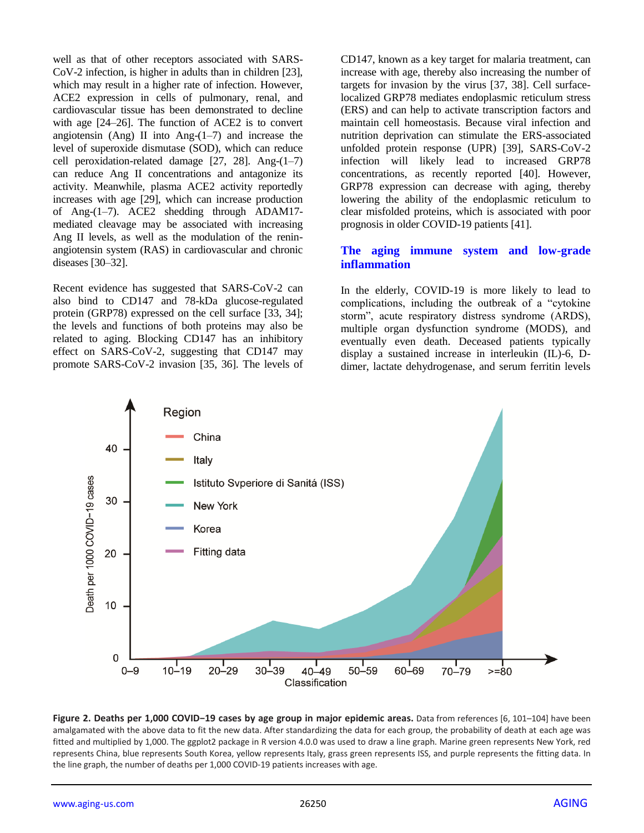well as that of other receptors associated with SARS-CoV-2 infection, is higher in adults than in children [23], which may result in a higher rate of infection. However, ACE2 expression in cells of pulmonary, renal, and cardiovascular tissue has been demonstrated to decline with age [24–26]. The function of ACE2 is to convert angiotensin (Ang) II into Ang- $(1-7)$  and increase the level of superoxide dismutase (SOD), which can reduce cell peroxidation-related damage [27, 28]. Ang-(1–7) can reduce Ang II concentrations and antagonize its activity. Meanwhile, plasma ACE2 activity reportedly increases with age [29], which can increase production of Ang-(1–7). ACE2 shedding through ADAM17 mediated cleavage may be associated with increasing Ang II levels, as well as the modulation of the reninangiotensin system (RAS) in cardiovascular and chronic diseases [30–32].

Recent evidence has suggested that SARS-CoV-2 can also bind to CD147 and 78-kDa glucose-regulated protein (GRP78) expressed on the cell surface [33, 34]; the levels and functions of both proteins may also be related to aging. Blocking CD147 has an inhibitory effect on SARS-CoV-2, suggesting that CD147 may promote SARS-CoV-2 invasion [35, 36]. The levels of CD147, known as a key target for malaria treatment, can increase with age, thereby also increasing the number of targets for invasion by the virus [37, 38]. Cell surfacelocalized GRP78 mediates endoplasmic reticulum stress (ERS) and can help to activate transcription factors and maintain cell homeostasis. Because viral infection and nutrition deprivation can stimulate the ERS-associated unfolded protein response (UPR) [39], SARS-CoV-2 infection will likely lead to increased GRP78 concentrations, as recently reported [40]. However, GRP78 expression can decrease with aging, thereby lowering the ability of the endoplasmic reticulum to clear misfolded proteins, which is associated with poor prognosis in older COVID-19 patients [41].

## **The aging immune system and low-grade inflammation**

In the elderly, COVID-19 is more likely to lead to complications, including the outbreak of a "cytokine" storm", acute respiratory distress syndrome (ARDS), multiple organ dysfunction syndrome (MODS), and eventually even death. Deceased patients typically display a sustained increase in interleukin (IL)-6, Ddimer, lactate dehydrogenase, and serum ferritin levels



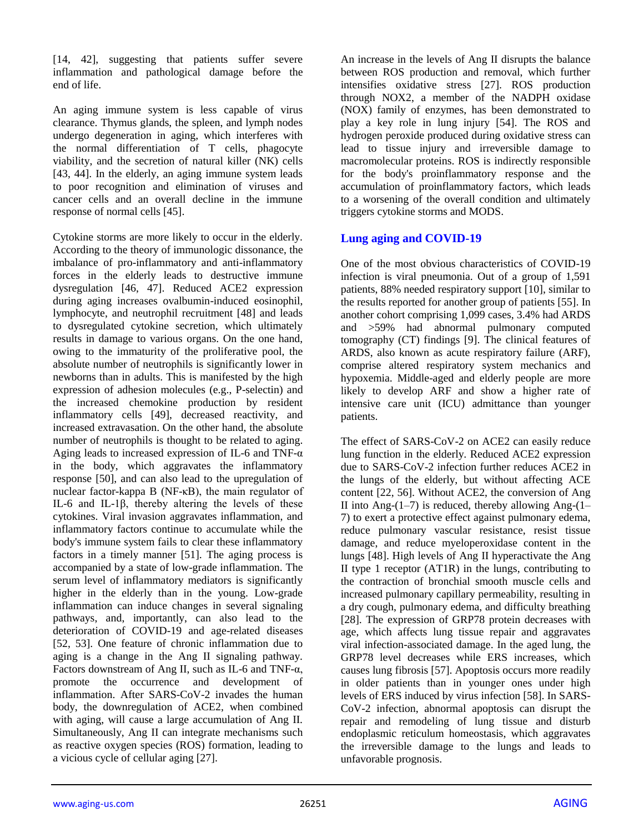[14, 42], suggesting that patients suffer severe inflammation and pathological damage before the end of life.

An aging immune system is less capable of virus clearance. Thymus glands, the spleen, and lymph nodes undergo degeneration in aging, which interferes with the normal differentiation of T cells, phagocyte viability, and the secretion of natural killer (NK) cells [43, 44]. In the elderly, an aging immune system leads to poor recognition and elimination of viruses and cancer cells and an overall decline in the immune response of normal cells [45].

Cytokine storms are more likely to occur in the elderly. According to the theory of immunologic dissonance, the imbalance of pro-inflammatory and anti-inflammatory forces in the elderly leads to destructive immune dysregulation [46, 47]. Reduced ACE2 expression during aging increases ovalbumin-induced eosinophil, lymphocyte, and neutrophil recruitment [48] and leads to dysregulated cytokine secretion, which ultimately results in damage to various organs. On the one hand, owing to the immaturity of the proliferative pool, the absolute number of neutrophils is significantly lower in newborns than in adults. This is manifested by the high expression of adhesion molecules (e.g., P-selectin) and the increased chemokine production by resident inflammatory cells [49], decreased reactivity, and increased extravasation. On the other hand, the absolute number of neutrophils is thought to be related to aging. Aging leads to increased expression of IL-6 and TNF-α in the body, which aggravates the inflammatory response [50], and can also lead to the upregulation of nuclear factor-kappa B (NF-κB), the main regulator of IL-6 and IL-1β, thereby altering the levels of these cytokines. Viral invasion aggravates inflammation, and inflammatory factors continue to accumulate while the body's immune system fails to clear these inflammatory factors in a timely manner [51]. The aging process is accompanied by a state of low-grade inflammation. The serum level of inflammatory mediators is significantly higher in the elderly than in the young. Low-grade inflammation can induce changes in several signaling pathways, and, importantly, can also lead to the deterioration of COVID-19 and age-related diseases [52, 53]. One feature of chronic inflammation due to aging is a change in the Ang II signaling pathway. Factors downstream of Ang II, such as IL-6 and TNF-α, promote the occurrence and development of inflammation. After SARS-CoV-2 invades the human body, the downregulation of ACE2, when combined with aging, will cause a large accumulation of Ang II. Simultaneously, Ang II can integrate mechanisms such as reactive oxygen species (ROS) formation, leading to a vicious cycle of cellular aging [27].

An increase in the levels of Ang II disrupts the balance between ROS production and removal, which further intensifies oxidative stress [27]. ROS production through NOX2, a member of the NADPH oxidase (NOX) family of enzymes, has been demonstrated to play a key role in lung injury [54]. The ROS and hydrogen peroxide produced during oxidative stress can lead to tissue injury and irreversible damage to macromolecular proteins. ROS is indirectly responsible for the body's proinflammatory response and the accumulation of proinflammatory factors, which leads to a worsening of the overall condition and ultimately triggers cytokine storms and MODS.

## **Lung aging and COVID-19**

One of the most obvious characteristics of COVID-19 infection is viral pneumonia. Out of a group of 1,591 patients, 88% needed respiratory support [10], similar to the results reported for another group of patients [55]. In another cohort comprising 1,099 cases, 3.4% had ARDS and >59% had abnormal pulmonary computed tomography (CT) findings [9]. The clinical features of ARDS, also known as acute respiratory failure (ARF), comprise altered respiratory system mechanics and hypoxemia. Middle-aged and elderly people are more likely to develop ARF and show a higher rate of intensive care unit (ICU) admittance than younger patients.

The effect of SARS-CoV-2 on ACE2 can easily reduce lung function in the elderly. Reduced ACE2 expression due to SARS-CoV-2 infection further reduces ACE2 in the lungs of the elderly, but without affecting ACE content [22, 56]. Without ACE2, the conversion of Ang II into Ang- $(1-7)$  is reduced, thereby allowing Ang- $(1-$ 7) to exert a protective effect against pulmonary edema, reduce pulmonary vascular resistance, resist tissue damage, and reduce myeloperoxidase content in the lungs [48]. High levels of Ang II hyperactivate the Ang II type 1 receptor (AT1R) in the lungs, contributing to the contraction of bronchial smooth muscle cells and increased pulmonary capillary permeability, resulting in a dry cough, pulmonary edema, and difficulty breathing [28]. The expression of GRP78 protein decreases with age, which affects lung tissue repair and aggravates viral infection-associated damage. In the aged lung, the GRP78 level decreases while ERS increases, which causes lung fibrosis [57]. Apoptosis occurs more readily in older patients than in younger ones under high levels of ERS induced by virus infection [58]. In SARS-CoV-2 infection, abnormal apoptosis can disrupt the repair and remodeling of lung tissue and disturb endoplasmic reticulum homeostasis, which aggravates the irreversible damage to the lungs and leads to unfavorable prognosis.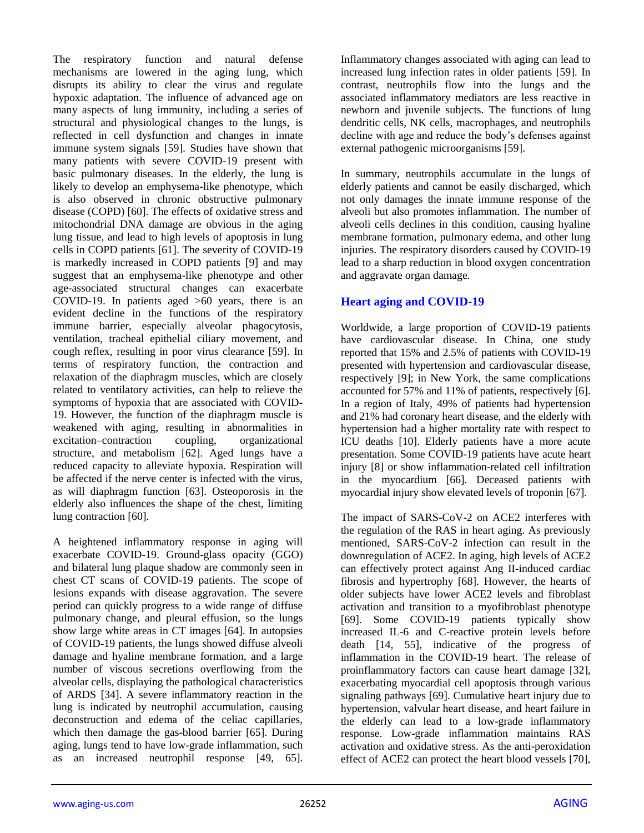The respiratory function and natural defense mechanisms are lowered in the aging lung, which disrupts its ability to clear the virus and regulate hypoxic adaptation. The influence of advanced age on many aspects of lung immunity, including a series of structural and physiological changes to the lungs, is reflected in cell dysfunction and changes in innate immune system signals [59]. Studies have shown that many patients with severe COVID-19 present with basic pulmonary diseases. In the elderly, the lung is likely to develop an emphysema-like phenotype, which is also observed in chronic obstructive pulmonary disease (COPD) [60]. The effects of oxidative stress and mitochondrial DNA damage are obvious in the aging lung tissue, and lead to high levels of apoptosis in lung cells in COPD patients [61]. The severity of COVID-19 is markedly increased in COPD patients [9] and may suggest that an emphysema-like phenotype and other age-associated structural changes can exacerbate COVID-19. In patients aged >60 years, there is an evident decline in the functions of the respiratory immune barrier, especially alveolar phagocytosis, ventilation, tracheal epithelial ciliary movement, and cough reflex, resulting in poor virus clearance [59]. In terms of respiratory function, the contraction and relaxation of the diaphragm muscles, which are closely related to ventilatory activities, can help to relieve the symptoms of hypoxia that are associated with COVID-19. However, the function of the diaphragm muscle is weakened with aging, resulting in abnormalities in excitation–contraction coupling, organizational structure, and metabolism [62]. Aged lungs have a reduced capacity to alleviate hypoxia. Respiration will be affected if the nerve center is infected with the virus, as will diaphragm function [63]. Osteoporosis in the elderly also influences the shape of the chest, limiting lung contraction [60].

A heightened inflammatory response in aging will exacerbate COVID-19. Ground-glass opacity (GGO) and bilateral lung plaque shadow are commonly seen in chest CT scans of COVID-19 patients. The scope of lesions expands with disease aggravation. The severe period can quickly progress to a wide range of diffuse pulmonary change, and pleural effusion, so the lungs show large white areas in CT images [64]. In autopsies of COVID-19 patients, the lungs showed diffuse alveoli damage and hyaline membrane formation, and a large number of viscous secretions overflowing from the alveolar cells, displaying the pathological characteristics of ARDS [34]. A severe inflammatory reaction in the lung is indicated by neutrophil accumulation, causing deconstruction and edema of the celiac capillaries, which then damage the gas-blood barrier [65]. During aging, lungs tend to have low-grade inflammation, such as an increased neutrophil response [49, 65]. Inflammatory changes associated with aging can lead to increased lung infection rates in older patients [59]. In contrast, neutrophils flow into the lungs and the associated inflammatory mediators are less reactive in newborn and juvenile subjects. The functions of lung dendritic cells, NK cells, macrophages, and neutrophils decline with age and reduce the body's defenses against external pathogenic microorganisms [59].

In summary, neutrophils accumulate in the lungs of elderly patients and cannot be easily discharged, which not only damages the innate immune response of the alveoli but also promotes inflammation. The number of alveoli cells declines in this condition, causing hyaline membrane formation, pulmonary edema, and other lung injuries. The respiratory disorders caused by COVID-19 lead to a sharp reduction in blood oxygen concentration and aggravate organ damage.

## **Heart aging and COVID-19**

Worldwide, a large proportion of COVID-19 patients have cardiovascular disease. In China, one study reported that 15% and 2.5% of patients with COVID-19 presented with hypertension and cardiovascular disease, respectively [9]; in New York, the same complications accounted for 57% and 11% of patients, respectively [6]. In a region of Italy, 49% of patients had hypertension and 21% had coronary heart disease, and the elderly with hypertension had a higher mortality rate with respect to ICU deaths [10]. Elderly patients have a more acute presentation. Some COVID-19 patients have acute heart injury [8] or show inflammation-related cell infiltration in the myocardium [66]. Deceased patients with myocardial injury show elevated levels of troponin [67].

The impact of SARS-CoV-2 on ACE2 interferes with the regulation of the RAS in heart aging. As previously mentioned, SARS-CoV-2 infection can result in the downregulation of ACE2. In aging, high levels of ACE2 can effectively protect against Ang II-induced cardiac fibrosis and hypertrophy [68]. However, the hearts of older subjects have lower ACE2 levels and fibroblast activation and transition to a myofibroblast phenotype [69]. Some COVID-19 patients typically show increased IL-6 and C-reactive protein levels before death [14, 55], indicative of the progress of inflammation in the COVID-19 heart. The release of proinflammatory factors can cause heart damage [32], exacerbating myocardial cell apoptosis through various signaling pathways [69]. Cumulative heart injury due to hypertension, valvular heart disease, and heart failure in the elderly can lead to a low-grade inflammatory response. Low-grade inflammation maintains RAS activation and oxidative stress. As the anti-peroxidation effect of ACE2 can protect the heart blood vessels [70],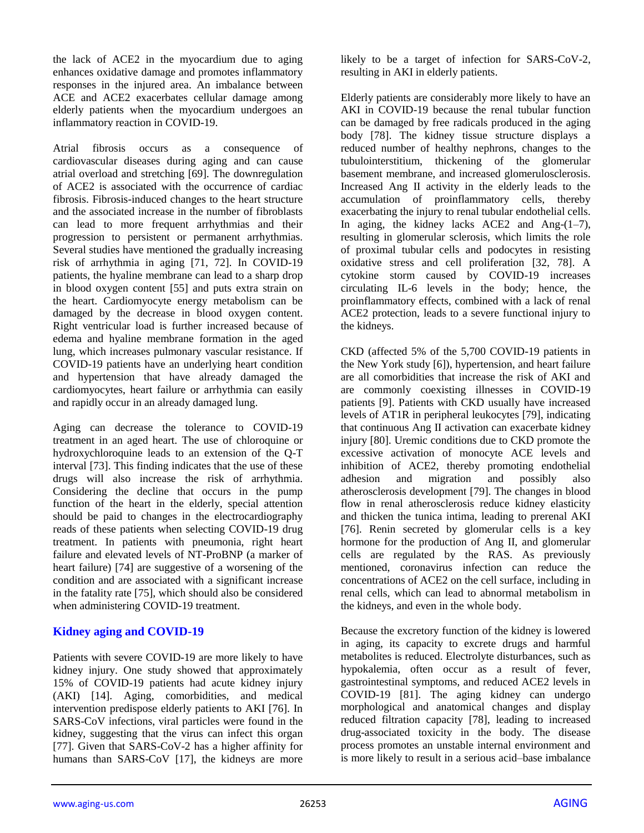the lack of ACE2 in the myocardium due to aging enhances oxidative damage and promotes inflammatory responses in the injured area. An imbalance between ACE and ACE2 exacerbates cellular damage among elderly patients when the myocardium undergoes an inflammatory reaction in COVID-19.

Atrial fibrosis occurs as a consequence of cardiovascular diseases during aging and can cause atrial overload and stretching [69]. The downregulation of ACE2 is associated with the occurrence of cardiac fibrosis. Fibrosis-induced changes to the heart structure and the associated increase in the number of fibroblasts can lead to more frequent arrhythmias and their progression to persistent or permanent arrhythmias. Several studies have mentioned the gradually increasing risk of arrhythmia in aging [71, 72]. In COVID-19 patients, the hyaline membrane can lead to a sharp drop in blood oxygen content [55] and puts extra strain on the heart. Cardiomyocyte energy metabolism can be damaged by the decrease in blood oxygen content. Right ventricular load is further increased because of edema and hyaline membrane formation in the aged lung, which increases pulmonary vascular resistance. If COVID-19 patients have an underlying heart condition and hypertension that have already damaged the cardiomyocytes, heart failure or arrhythmia can easily and rapidly occur in an already damaged lung.

Aging can decrease the tolerance to COVID-19 treatment in an aged heart. The use of chloroquine or hydroxychloroquine leads to an extension of the Q-T interval [73]. This finding indicates that the use of these drugs will also increase the risk of arrhythmia. Considering the decline that occurs in the pump function of the heart in the elderly, special attention should be paid to changes in the electrocardiography reads of these patients when selecting COVID-19 drug treatment. In patients with pneumonia, right heart failure and elevated levels of NT-ProBNP (a marker of heart failure) [74] are suggestive of a worsening of the condition and are associated with a significant increase in the fatality rate [75], which should also be considered when administering COVID-19 treatment.

#### **Kidney aging and COVID-19**

Patients with severe COVID-19 are more likely to have kidney injury. One study showed that approximately 15% of COVID-19 patients had acute kidney injury (AKI) [14]. Aging, comorbidities, and medical intervention predispose elderly patients to AKI [76]. In SARS-CoV infections, viral particles were found in the kidney, suggesting that the virus can infect this organ [77]. Given that SARS-CoV-2 has a higher affinity for humans than SARS-CoV [17], the kidneys are more likely to be a target of infection for SARS-CoV-2, resulting in AKI in elderly patients.

Elderly patients are considerably more likely to have an AKI in COVID-19 because the renal tubular function can be damaged by free radicals produced in the aging body [78]. The kidney tissue structure displays a reduced number of healthy nephrons, changes to the tubulointerstitium, thickening of the glomerular basement membrane, and increased glomerulosclerosis. Increased Ang II activity in the elderly leads to the accumulation of proinflammatory cells, thereby exacerbating the injury to renal tubular endothelial cells. In aging, the kidney lacks ACE2 and Ang-(1–7), resulting in glomerular sclerosis, which limits the role of proximal tubular cells and podocytes in resisting oxidative stress and cell proliferation [32, 78]. A cytokine storm caused by COVID-19 increases circulating IL-6 levels in the body; hence, the proinflammatory effects, combined with a lack of renal ACE2 protection, leads to a severe functional injury to the kidneys.

CKD (affected 5% of the 5,700 COVID-19 patients in the New York study [6]), hypertension, and heart failure are all comorbidities that increase the risk of AKI and are commonly coexisting illnesses in COVID-19 patients [9]. Patients with CKD usually have increased levels of AT1R in peripheral leukocytes [79], indicating that continuous Ang II activation can exacerbate kidney injury [80]. Uremic conditions due to CKD promote the excessive activation of monocyte ACE levels and inhibition of ACE2, thereby promoting endothelial adhesion and migration and possibly also atherosclerosis development [79]. The changes in blood flow in renal atherosclerosis reduce kidney elasticity and thicken the tunica intima, leading to prerenal AKI [76]. Renin secreted by glomerular cells is a key hormone for the production of Ang II, and glomerular cells are regulated by the RAS. As previously mentioned, coronavirus infection can reduce the concentrations of ACE2 on the cell surface, including in renal cells, which can lead to abnormal metabolism in the kidneys, and even in the whole body.

Because the excretory function of the kidney is lowered in aging, its capacity to excrete drugs and harmful metabolites is reduced. Electrolyte disturbances, such as hypokalemia, often occur as a result of fever, gastrointestinal symptoms, and reduced ACE2 levels in COVID-19 [81]. The aging kidney can undergo morphological and anatomical changes and display reduced filtration capacity [78], leading to increased drug-associated toxicity in the body. The disease process promotes an unstable internal environment and is more likely to result in a serious acid–base imbalance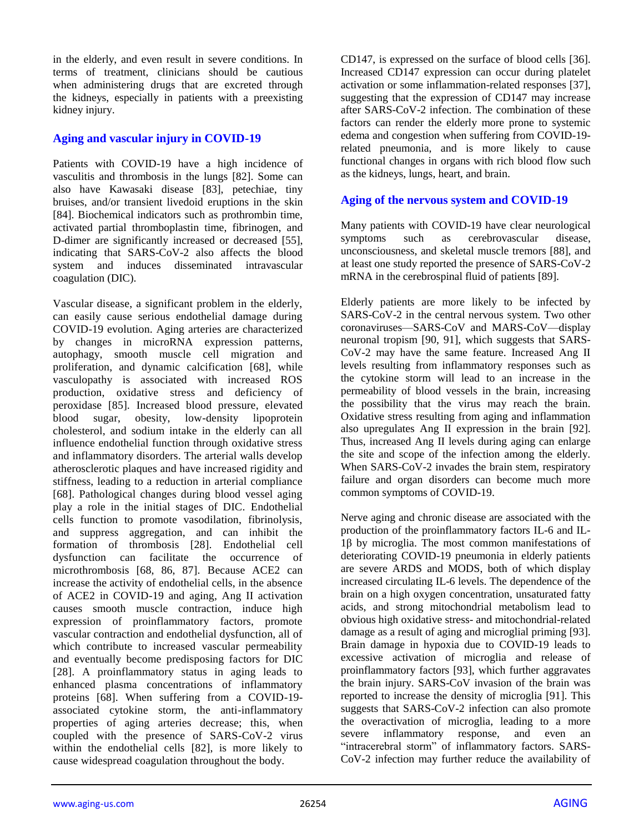in the elderly, and even result in severe conditions. In terms of treatment, clinicians should be cautious when administering drugs that are excreted through the kidneys, especially in patients with a preexisting kidney injury.

## **Aging and vascular injury in COVID-19**

Patients with COVID-19 have a high incidence of vasculitis and thrombosis in the lungs [82]. Some can also have Kawasaki disease [83], petechiae, tiny bruises, and/or transient livedoid eruptions in the skin [84]. Biochemical indicators such as prothrombin time, activated partial thromboplastin time, fibrinogen, and D-dimer are significantly increased or decreased [55], indicating that SARS-CoV-2 also affects the blood system and induces disseminated intravascular coagulation (DIC).

Vascular disease, a significant problem in the elderly, can easily cause serious endothelial damage during COVID-19 evolution. Aging arteries are characterized by changes in microRNA expression patterns, autophagy, smooth muscle cell migration and proliferation, and dynamic calcification [68], while vasculopathy is associated with increased ROS production, oxidative stress and deficiency of peroxidase [85]. Increased blood pressure, elevated blood sugar, obesity, low-density lipoprotein cholesterol, and sodium intake in the elderly can all influence endothelial function through oxidative stress and inflammatory disorders. The arterial walls develop atherosclerotic plaques and have increased rigidity and stiffness, leading to a reduction in arterial compliance [68]. Pathological changes during blood vessel aging play a role in the initial stages of DIC. Endothelial cells function to promote vasodilation, fibrinolysis, and suppress aggregation, and can inhibit the formation of thrombosis [28]. Endothelial cell dysfunction can facilitate the occurrence of microthrombosis [68, 86, 87]. Because ACE2 can increase the activity of endothelial cells, in the absence of ACE2 in COVID-19 and aging, Ang II activation causes smooth muscle contraction, induce high expression of proinflammatory factors, promote vascular contraction and endothelial dysfunction, all of which contribute to increased vascular permeability and eventually become predisposing factors for DIC [28]. A proinflammatory status in aging leads to enhanced plasma concentrations of inflammatory proteins [68]. When suffering from a COVID-19 associated cytokine storm, the anti-inflammatory properties of aging arteries decrease; this, when coupled with the presence of SARS-CoV-2 virus within the endothelial cells [82], is more likely to cause widespread coagulation throughout the body.

CD147, is expressed on the surface of blood cells [36]. Increased CD147 expression can occur during platelet activation or some inflammation-related responses [37], suggesting that the expression of CD147 may increase after SARS-CoV-2 infection. The combination of these factors can render the elderly more prone to systemic edema and congestion when suffering from COVID-19 related pneumonia, and is more likely to cause functional changes in organs with rich blood flow such as the kidneys, lungs, heart, and brain.

#### **Aging of the nervous system and COVID-19**

Many patients with COVID-19 have clear neurological symptoms such as cerebrovascular disease, unconsciousness, and skeletal muscle tremors [88], and at least one study reported the presence of SARS-CoV-2 mRNA in the cerebrospinal fluid of patients [89].

Elderly patients are more likely to be infected by SARS-CoV-2 in the central nervous system. Two other coronaviruses—SARS-CoV and MARS-CoV—display neuronal tropism [90, 91], which suggests that SARS-CoV-2 may have the same feature. Increased Ang II levels resulting from inflammatory responses such as the cytokine storm will lead to an increase in the permeability of blood vessels in the brain, increasing the possibility that the virus may reach the brain. Oxidative stress resulting from aging and inflammation also upregulates Ang II expression in the brain [92]. Thus, increased Ang II levels during aging can enlarge the site and scope of the infection among the elderly. When SARS-CoV-2 invades the brain stem, respiratory failure and organ disorders can become much more common symptoms of COVID-19.

Nerve aging and chronic disease are associated with the production of the proinflammatory factors IL-6 and IL-1β by microglia. The most common manifestations of deteriorating COVID-19 pneumonia in elderly patients are severe ARDS and MODS, both of which display increased circulating IL-6 levels. The dependence of the brain on a high oxygen concentration, unsaturated fatty acids, and strong mitochondrial metabolism lead to obvious high oxidative stress- and mitochondrial-related damage as a result of aging and microglial priming [93]. Brain damage in hypoxia due to COVID-19 leads to excessive activation of microglia and release of proinflammatory factors [93], which further aggravates the brain injury. SARS-CoV invasion of the brain was reported to increase the density of microglia [91]. This suggests that SARS-CoV-2 infection can also promote the overactivation of microglia, leading to a more severe inflammatory response, and even an "intracerebral storm" of inflammatory factors. SARS-CoV-2 infection may further reduce the availability of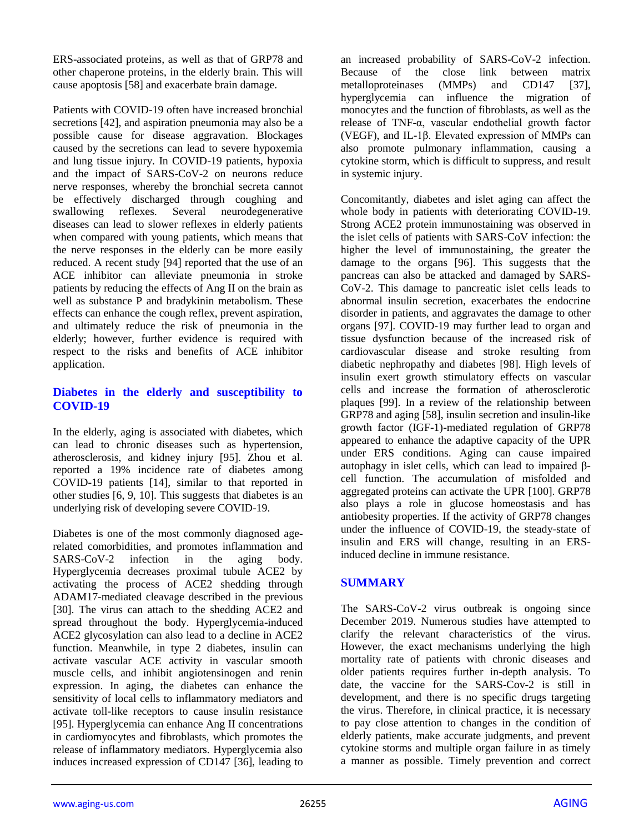ERS-associated proteins, as well as that of GRP78 and other chaperone proteins, in the elderly brain. This will cause apoptosis [58] and exacerbate brain damage.

Patients with COVID-19 often have increased bronchial secretions [42], and aspiration pneumonia may also be a possible cause for disease aggravation. Blockages caused by the secretions can lead to severe hypoxemia and lung tissue injury. In COVID-19 patients, hypoxia and the impact of SARS-CoV-2 on neurons reduce nerve responses, whereby the bronchial secreta cannot be effectively discharged through coughing and swallowing reflexes. Several neurodegenerative diseases can lead to slower reflexes in elderly patients when compared with young patients, which means that the nerve responses in the elderly can be more easily reduced. A recent study [94] reported that the use of an ACE inhibitor can alleviate pneumonia in stroke patients by reducing the effects of Ang II on the brain as well as substance P and bradykinin metabolism. These effects can enhance the cough reflex, prevent aspiration, and ultimately reduce the risk of pneumonia in the elderly; however, further evidence is required with respect to the risks and benefits of ACE inhibitor application.

## **Diabetes in the elderly and susceptibility to COVID-19**

In the elderly, aging is associated with diabetes, which can lead to chronic diseases such as hypertension, atherosclerosis, and kidney injury [95]. Zhou et al. reported a 19% incidence rate of diabetes among COVID-19 patients [14], similar to that reported in other studies [6, 9, 10]. This suggests that diabetes is an underlying risk of developing severe COVID-19.

Diabetes is one of the most commonly diagnosed agerelated comorbidities, and promotes inflammation and SARS-CoV-2 infection in the aging body. Hyperglycemia decreases proximal tubule ACE2 by activating the process of ACE2 shedding through ADAM17-mediated cleavage described in the previous [30]. The virus can attach to the shedding ACE2 and spread throughout the body. Hyperglycemia-induced ACE2 glycosylation can also lead to a decline in ACE2 function. Meanwhile, in type 2 diabetes, insulin can activate vascular ACE activity in vascular smooth muscle cells, and inhibit angiotensinogen and renin expression. In aging, the diabetes can enhance the sensitivity of local cells to inflammatory mediators and activate toll-like receptors to cause insulin resistance [95]. Hyperglycemia can enhance Ang II concentrations in cardiomyocytes and fibroblasts, which promotes the release of inflammatory mediators. Hyperglycemia also induces increased expression of CD147 [36], leading to

an increased probability of SARS-CoV-2 infection. Because of the close link between matrix metalloproteinases (MMPs) and CD147 [37], hyperglycemia can influence the migration of monocytes and the function of fibroblasts, as well as the release of TNF-α, vascular endothelial growth factor (VEGF), and IL-1β. Elevated expression of MMPs can also promote pulmonary inflammation, causing a cytokine storm, which is difficult to suppress, and result in systemic injury.

Concomitantly, diabetes and islet aging can affect the whole body in patients with deteriorating COVID-19. Strong ACE2 protein immunostaining was observed in the islet cells of patients with SARS-CoV infection: the higher the level of immunostaining, the greater the damage to the organs [96]. This suggests that the pancreas can also be attacked and damaged by SARS-CoV-2. This damage to pancreatic islet cells leads to abnormal insulin secretion, exacerbates the endocrine disorder in patients, and aggravates the damage to other organs [97]. COVID-19 may further lead to organ and tissue dysfunction because of the increased risk of cardiovascular disease and stroke resulting from diabetic nephropathy and diabetes [98]. High levels of insulin exert growth stimulatory effects on vascular cells and increase the formation of atherosclerotic plaques [99]. In a review of the relationship between GRP78 and aging [58], insulin secretion and insulin-like growth factor (IGF-1)-mediated regulation of GRP78 appeared to enhance the adaptive capacity of the UPR under ERS conditions. Aging can cause impaired autophagy in islet cells, which can lead to impaired βcell function. The accumulation of misfolded and aggregated proteins can activate the UPR [100]. GRP78 also plays a role in glucose homeostasis and has antiobesity properties. If the activity of GRP78 changes under the influence of COVID-19, the steady-state of insulin and ERS will change, resulting in an ERSinduced decline in immune resistance.

# **SUMMARY**

The SARS-CoV-2 virus outbreak is ongoing since December 2019. Numerous studies have attempted to clarify the relevant characteristics of the virus. However, the exact mechanisms underlying the high mortality rate of patients with chronic diseases and older patients requires further in-depth analysis. To date, the vaccine for the SARS-Cov-2 is still in development, and there is no specific drugs targeting the virus. Therefore, in clinical practice, it is necessary to pay close attention to changes in the condition of elderly patients, make accurate judgments, and prevent cytokine storms and multiple organ failure in as timely a manner as possible. Timely prevention and correct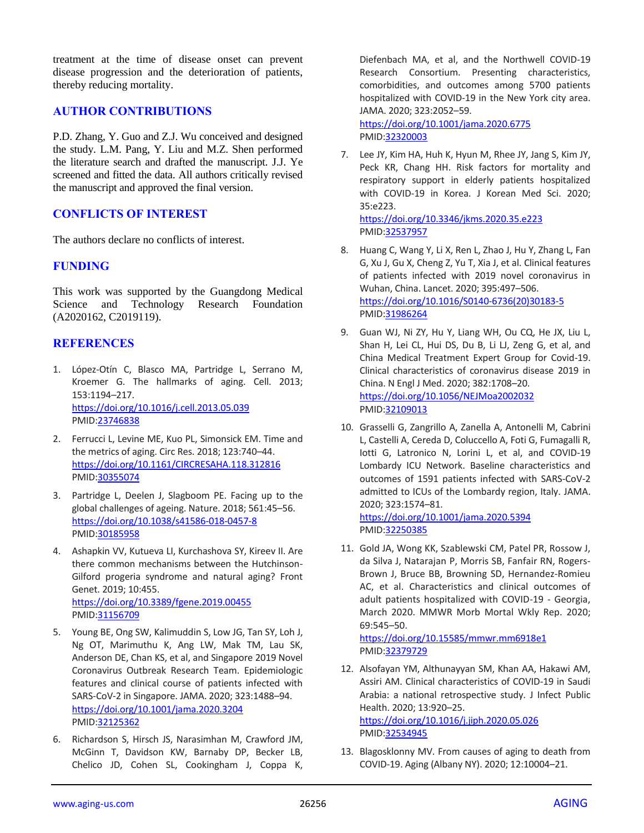treatment at the time of disease onset can prevent disease progression and the deterioration of patients, thereby reducing mortality.

## **AUTHOR CONTRIBUTIONS**

P.D. Zhang, Y. Guo and Z.J. Wu conceived and designed the study. L.M. Pang, Y. Liu and M.Z. Shen performed the literature search and drafted the manuscript. J.J. Ye screened and fitted the data. All authors critically revised the manuscript and approved the final version.

## **CONFLICTS OF INTEREST**

The authors declare no conflicts of interest.

## **FUNDING**

This work was supported by the Guangdong Medical Science and Technology Research Foundation (A2020162, C2019119).

## **REFERENCES**

- 1. López-Otín C, Blasco MA, Partridge L, Serrano M, Kroemer G. The hallmarks of aging. Cell. 2013; 153:1194–217. <https://doi.org/10.1016/j.cell.2013.05.039> PMID[:23746838](https://pubmed.ncbi.nlm.nih.gov/23746838)
- 2. Ferrucci L, Levine ME, Kuo PL, Simonsick EM. Time and the metrics of aging. Circ Res. 2018; 123:740–44. <https://doi.org/10.1161/CIRCRESAHA.118.312816> PMID[:30355074](https://pubmed.ncbi.nlm.nih.gov/30355074)
- 3. Partridge L, Deelen J, Slagboom PE. Facing up to the global challenges of ageing. Nature. 2018; 561:45–56. <https://doi.org/10.1038/s41586-018-0457-8> PMID[:30185958](https://pubmed.ncbi.nlm.nih.gov/30185958)
- 4. Ashapkin VV, Kutueva LI, Kurchashova SY, Kireev II. Are there common mechanisms between the Hutchinson-Gilford progeria syndrome and natural aging? Front Genet. 2019; 10:455. <https://doi.org/10.3389/fgene.2019.00455> PMID[:31156709](https://pubmed.ncbi.nlm.nih.gov/31156709)
- 5. Young BE, Ong SW, Kalimuddin S, Low JG, Tan SY, Loh J, Ng OT, Marimuthu K, Ang LW, Mak TM, Lau SK, Anderson DE, Chan KS, et al, and Singapore 2019 Novel Coronavirus Outbreak Research Team. Epidemiologic features and clinical course of patients infected with SARS-CoV-2 in Singapore. JAMA. 2020; 323:1488–94. <https://doi.org/10.1001/jama.2020.3204> PMID[:32125362](https://pubmed.ncbi.nlm.nih.gov/32125362)
- 6. Richardson S, Hirsch JS, Narasimhan M, Crawford JM, McGinn T, Davidson KW, Barnaby DP, Becker LB, Chelico JD, Cohen SL, Cookingham J, Coppa K,

Diefenbach MA, et al, and the Northwell COVID-19 Research Consortium. Presenting characteristics, comorbidities, and outcomes among 5700 patients hospitalized with COVID-19 in the New York city area. JAMA. 2020; 323:2052–59. <https://doi.org/10.1001/jama.2020.6775> PMI[D:32320003](https://pubmed.ncbi.nlm.nih.gov/32320003)

7. Lee JY, Kim HA, Huh K, Hyun M, Rhee JY, Jang S, Kim JY, Peck KR, Chang HH. Risk factors for mortality and respiratory support in elderly patients hospitalized with COVID-19 in Korea. J Korean Med Sci. 2020; 35:e223.

<https://doi.org/10.3346/jkms.2020.35.e223> PMI[D:32537957](https://pubmed.ncbi.nlm.nih.gov/32537957)

- 8. Huang C, Wang Y, Li X, Ren L, Zhao J, Hu Y, Zhang L, Fan G, Xu J, Gu X, Cheng Z, Yu T, Xia J, et al. Clinical features of patients infected with 2019 novel coronavirus in Wuhan, China. Lancet. 2020; 395:497–506. [https://doi.org/10.1016/S0140-6736\(20\)30183-5](https://doi.org/10.1016/S0140-6736(20)30183-5) PMI[D:31986264](https://pubmed.ncbi.nlm.nih.gov/31986264)
- 9. Guan WJ, Ni ZY, Hu Y, Liang WH, Ou CQ, He JX, Liu L, Shan H, Lei CL, Hui DS, Du B, Li LJ, Zeng G, et al, and China Medical Treatment Expert Group for Covid-19. Clinical characteristics of coronavirus disease 2019 in China. N Engl J Med. 2020; 382:1708–20. <https://doi.org/10.1056/NEJMoa2002032> PMI[D:32109013](https://pubmed.ncbi.nlm.nih.gov/32109013)
- 10. Grasselli G, Zangrillo A, Zanella A, Antonelli M, Cabrini L, Castelli A, Cereda D, Coluccello A, Foti G, Fumagalli R, Iotti G, Latronico N, Lorini L, et al, and COVID-19 Lombardy ICU Network. Baseline characteristics and outcomes of 1591 patients infected with SARS-CoV-2 admitted to ICUs of the Lombardy region, Italy. JAMA. 2020; 323:1574–81.

<https://doi.org/10.1001/jama.2020.5394> PMI[D:32250385](https://pubmed.ncbi.nlm.nih.gov/32250385)

11. Gold JA, Wong KK, Szablewski CM, Patel PR, Rossow J, da Silva J, Natarajan P, Morris SB, Fanfair RN, Rogers-Brown J, Bruce BB, Browning SD, Hernandez-Romieu AC, et al. Characteristics and clinical outcomes of adult patients hospitalized with COVID-19 - Georgia, March 2020. MMWR Morb Mortal Wkly Rep. 2020; 69:545–50.

<https://doi.org/10.15585/mmwr.mm6918e1> PMI[D:32379729](https://pubmed.ncbi.nlm.nih.gov/32379729)

12. Alsofayan YM, Althunayyan SM, Khan AA, Hakawi AM, Assiri AM. Clinical characteristics of COVID-19 in Saudi Arabia: a national retrospective study. J Infect Public Health. 2020; 13:920–25. <https://doi.org/10.1016/j.jiph.2020.05.026>

PMI[D:32534945](https://pubmed.ncbi.nlm.nih.gov/32534945)

13. Blagosklonny MV. From causes of aging to death from COVID-19. Aging (Albany NY). 2020; 12:10004–21.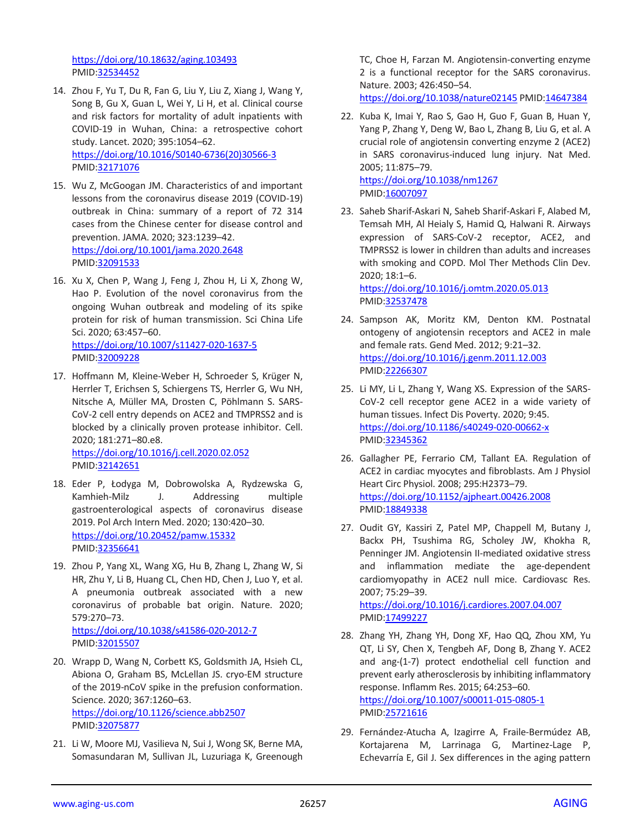<https://doi.org/10.18632/aging.103493> PMID[:32534452](https://pubmed.ncbi.nlm.nih.gov/32534452)

- 14. Zhou F, Yu T, Du R, Fan G, Liu Y, Liu Z, Xiang J, Wang Y, Song B, Gu X, Guan L, Wei Y, Li H, et al. Clinical course and risk factors for mortality of adult inpatients with COVID-19 in Wuhan, China: a retrospective cohort study. Lancet. 2020; 395:1054–62. [https://doi.org/10.1016/S0140-6736\(20\)30566-3](https://doi.org/10.1016/S0140-6736(20)30566-3) PMID[:32171076](https://pubmed.ncbi.nlm.nih.gov/32171076)
- 15. Wu Z, McGoogan JM. Characteristics of and important lessons from the coronavirus disease 2019 (COVID-19) outbreak in China: summary of a report of 72 314 cases from the Chinese center for disease control and prevention. JAMA. 2020; 323:1239–42. <https://doi.org/10.1001/jama.2020.2648> PMID[:32091533](https://pubmed.ncbi.nlm.nih.gov/32091533)
- 16. Xu X, Chen P, Wang J, Feng J, Zhou H, Li X, Zhong W, Hao P. Evolution of the novel coronavirus from the ongoing Wuhan outbreak and modeling of its spike protein for risk of human transmission. Sci China Life Sci. 2020; 63:457–60. <https://doi.org/10.1007/s11427-020-1637-5>
	- PMID[:32009228](https://pubmed.ncbi.nlm.nih.gov/32009228)
- 17. Hoffmann M, Kleine-Weber H, Schroeder S, Krüger N, Herrler T, Erichsen S, Schiergens TS, Herrler G, Wu NH, Nitsche A, Müller MA, Drosten C, Pöhlmann S. SARS-CoV-2 cell entry depends on ACE2 and TMPRSS2 and is blocked by a clinically proven protease inhibitor. Cell. 2020; 181:271–80.e8. <https://doi.org/10.1016/j.cell.2020.02.052> PMID[:32142651](https://pubmed.ncbi.nlm.nih.gov/32142651)
- 18. Eder P, Łodyga M, Dobrowolska A, Rydzewska G, Kamhieh-Milz J. Addressing multiple gastroenterological aspects of coronavirus disease 2019. Pol Arch Intern Med. 2020; 130:420–30. <https://doi.org/10.20452/pamw.15332> PMID[:32356641](https://pubmed.ncbi.nlm.nih.gov/32356641)
- 19. Zhou P, Yang XL, Wang XG, Hu B, Zhang L, Zhang W, Si HR, Zhu Y, Li B, Huang CL, Chen HD, Chen J, Luo Y, et al. A pneumonia outbreak associated with a new coronavirus of probable bat origin. Nature. 2020; 579:270–73. <https://doi.org/10.1038/s41586-020-2012-7> PMID[:32015507](https://pubmed.ncbi.nlm.nih.gov/32015507)
- 20. Wrapp D, Wang N, Corbett KS, Goldsmith JA, Hsieh CL, Abiona O, Graham BS, McLellan JS. cryo-EM structure of the 2019-nCoV spike in the prefusion conformation. Science. 2020; 367:1260–63. <https://doi.org/10.1126/science.abb2507> PMID[:32075877](https://pubmed.ncbi.nlm.nih.gov/32075877)
- 21. Li W, Moore MJ, Vasilieva N, Sui J, Wong SK, Berne MA, Somasundaran M, Sullivan JL, Luzuriaga K, Greenough

TC, Choe H, Farzan M. Angiotensin-converting enzyme 2 is a functional receptor for the SARS coronavirus. Nature. 2003; 426:450–54.

<https://doi.org/10.1038/nature02145> PMI[D:14647384](https://pubmed.ncbi.nlm.nih.gov/14647384)

22. Kuba K, Imai Y, Rao S, Gao H, Guo F, Guan B, Huan Y, Yang P, Zhang Y, Deng W, Bao L, Zhang B, Liu G, et al. A crucial role of angiotensin converting enzyme 2 (ACE2) in SARS coronavirus-induced lung injury. Nat Med. 2005; 11:875–79.

<https://doi.org/10.1038/nm1267> PMI[D:16007097](https://pubmed.ncbi.nlm.nih.gov/16007097)

- 23. Saheb Sharif-Askari N, Saheb Sharif-Askari F, Alabed M, Temsah MH, Al Heialy S, Hamid Q, Halwani R. Airways expression of SARS-CoV-2 receptor, ACE2, and TMPRSS2 is lower in children than adults and increases with smoking and COPD. Mol Ther Methods Clin Dev. 2020; 18:1–6. <https://doi.org/10.1016/j.omtm.2020.05.013>
	- PMI[D:32537478](https://pubmed.ncbi.nlm.nih.gov/32537478)
- 24. Sampson AK, Moritz KM, Denton KM. Postnatal ontogeny of angiotensin receptors and ACE2 in male and female rats. Gend Med. 2012; 9:21–32. <https://doi.org/10.1016/j.genm.2011.12.003> PMI[D:22266307](https://pubmed.ncbi.nlm.nih.gov/22266307)
- 25. Li MY, Li L, Zhang Y, Wang XS. Expression of the SARS-CoV-2 cell receptor gene ACE2 in a wide variety of human tissues. Infect Dis Poverty. 2020; 9:45. <https://doi.org/10.1186/s40249-020-00662-x> PMI[D:32345362](https://pubmed.ncbi.nlm.nih.gov/32345362)
- 26. Gallagher PE, Ferrario CM, Tallant EA. Regulation of ACE2 in cardiac myocytes and fibroblasts. Am J Physiol Heart Circ Physiol. 2008; 295:H2373–79. <https://doi.org/10.1152/ajpheart.00426.2008> PMI[D:18849338](https://pubmed.ncbi.nlm.nih.gov/18849338)
- 27. Oudit GY, Kassiri Z, Patel MP, Chappell M, Butany J, Backx PH, Tsushima RG, Scholey JW, Khokha R, Penninger JM. Angiotensin II-mediated oxidative stress and inflammation mediate the age-dependent cardiomyopathy in ACE2 null mice. Cardiovasc Res. 2007; 75:29–39. <https://doi.org/10.1016/j.cardiores.2007.04.007> PMI[D:17499227](https://pubmed.ncbi.nlm.nih.gov/17499227)
- 28. Zhang YH, Zhang YH, Dong XF, Hao QQ, Zhou XM, Yu QT, Li SY, Chen X, Tengbeh AF, Dong B, Zhang Y. ACE2 and ang-(1-7) protect endothelial cell function and prevent early atherosclerosis by inhibiting inflammatory response. Inflamm Res. 2015; 64:253–60. <https://doi.org/10.1007/s00011-015-0805-1> PMI[D:25721616](https://pubmed.ncbi.nlm.nih.gov/25721616)
- 29. Fernández-Atucha A, Izagirre A, Fraile-Bermúdez AB, Kortajarena M, Larrinaga G, Martinez-Lage P, Echevarría E, Gil J. Sex differences in the aging pattern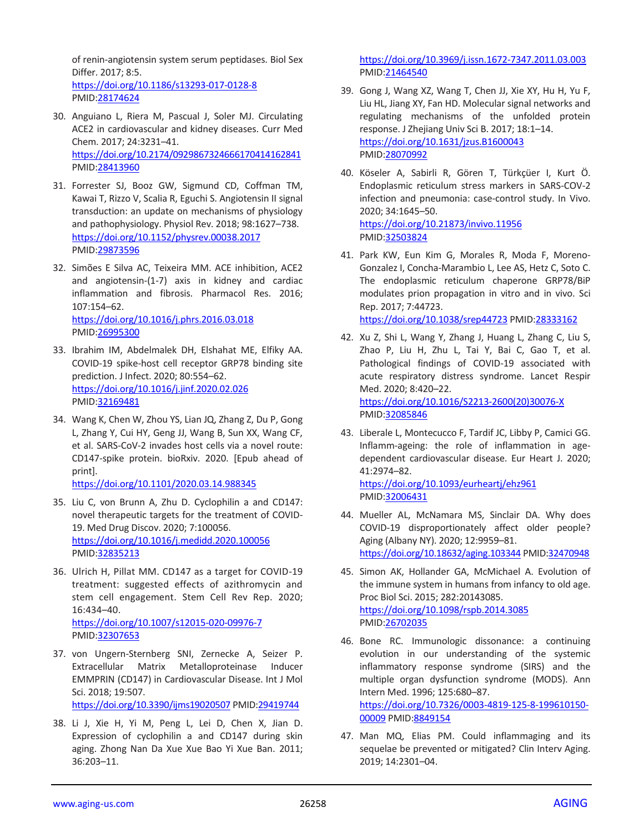of renin-angiotensin system serum peptidases. Biol Sex Differ. 2017; 8:5. <https://doi.org/10.1186/s13293-017-0128-8> PMID[:28174624](https://pubmed.ncbi.nlm.nih.gov/28174624)

- 30. Anguiano L, Riera M, Pascual J, Soler MJ. Circulating ACE2 in cardiovascular and kidney diseases. Curr Med Chem. 2017; 24:3231–41. <https://doi.org/10.2174/0929867324666170414162841> PMID[:28413960](https://pubmed.ncbi.nlm.nih.gov/28413960)
- 31. Forrester SJ, Booz GW, Sigmund CD, Coffman TM, Kawai T, Rizzo V, Scalia R, Eguchi S. Angiotensin II signal transduction: an update on mechanisms of physiology and pathophysiology. Physiol Rev. 2018; 98:1627–738. <https://doi.org/10.1152/physrev.00038.2017> PMID[:29873596](https://pubmed.ncbi.nlm.nih.gov/29873596)
- 32. Simões E Silva AC, Teixeira MM. ACE inhibition, ACE2 and angiotensin-(1-7) axis in kidney and cardiac inflammation and fibrosis. Pharmacol Res. 2016; 107:154–62. <https://doi.org/10.1016/j.phrs.2016.03.018> PMID[:26995300](https://pubmed.ncbi.nlm.nih.gov/26995300)
- 33. Ibrahim IM, Abdelmalek DH, Elshahat ME, Elfiky AA. COVID-19 spike-host cell receptor GRP78 binding site prediction. J Infect. 2020; 80:554–62. <https://doi.org/10.1016/j.jinf.2020.02.026> PMID[:32169481](https://pubmed.ncbi.nlm.nih.gov/32169481)
- 34. Wang K, Chen W, Zhou YS, Lian JQ, Zhang Z, Du P, Gong L, Zhang Y, Cui HY, Geng JJ, Wang B, Sun XX, Wang CF, et al. SARS-CoV-2 invades host cells via a novel route: CD147-spike protein. bioRxiv. 2020. [Epub ahead of print].

<https://doi.org/10.1101/2020.03.14.988345>

- 35. Liu C, von Brunn A, Zhu D. Cyclophilin a and CD147: novel therapeutic targets for the treatment of COVID-19. Med Drug Discov. 2020; 7:100056. <https://doi.org/10.1016/j.medidd.2020.100056> PMID[:32835213](https://pubmed.ncbi.nlm.nih.gov/32835213)
- 36. Ulrich H, Pillat MM. CD147 as a target for COVID-19 treatment: suggested effects of azithromycin and stem cell engagement. Stem Cell Rev Rep. 2020; 16:434–40. <https://doi.org/10.1007/s12015-020-09976-7> PMID[:32307653](https://pubmed.ncbi.nlm.nih.gov/32307653)
- 37. von Ungern-Sternberg SNI, Zernecke A, Seizer P. Extracellular Matrix Metalloproteinase Inducer EMMPRIN (CD147) in Cardiovascular Disease. Int J Mol Sci. 2018; 19:507.

<https://doi.org/10.3390/ijms19020507> PMI[D:29419744](https://pubmed.ncbi.nlm.nih.gov/29419744)

38. Li J, Xie H, Yi M, Peng L, Lei D, Chen X, Jian D. Expression of cyclophilin a and CD147 during skin aging. Zhong Nan Da Xue Xue Bao Yi Xue Ban. 2011; 36:203–11.

<https://doi.org/10.3969/j.issn.1672-7347.2011.03.003> PMI[D:21464540](https://pubmed.ncbi.nlm.nih.gov/21464540)

- 39. Gong J, Wang XZ, Wang T, Chen JJ, Xie XY, Hu H, Yu F, Liu HL, Jiang XY, Fan HD. Molecular signal networks and regulating mechanisms of the unfolded protein response. J Zhejiang Univ Sci B. 2017; 18:1–14. <https://doi.org/10.1631/jzus.B1600043> PMI[D:28070992](https://pubmed.ncbi.nlm.nih.gov/28070992)
- 40. Köseler A, Sabirli R, Gören T, Türkçüer I, Kurt Ö. Endoplasmic reticulum stress markers in SARS-COV-2 infection and pneumonia: case-control study. In Vivo. 2020; 34:1645–50. <https://doi.org/10.21873/invivo.11956> PMI[D:32503824](https://pubmed.ncbi.nlm.nih.gov/32503824)
- 41. Park KW, Eun Kim G, Morales R, Moda F, Moreno-Gonzalez I, Concha-Marambio L, Lee AS, Hetz C, Soto C. The endoplasmic reticulum chaperone GRP78/BiP modulates prion propagation in vitro and in vivo. Sci Rep. 2017; 7:44723. <https://doi.org/10.1038/srep44723> PMID[:28333162](https://pubmed.ncbi.nlm.nih.gov/28333162)
- 42. Xu Z, Shi L, Wang Y, Zhang J, Huang L, Zhang C, Liu S, Zhao P, Liu H, Zhu L, Tai Y, Bai C, Gao T, et al. Pathological findings of COVID-19 associated with acute respiratory distress syndrome. Lancet Respir Med. 2020; 8:420–22. [https://doi.org/10.1016/S2213-2600\(20\)30076-X](https://doi.org/10.1016/S2213-2600(20)30076-X) PMI[D:32085846](https://pubmed.ncbi.nlm.nih.gov/32085846)
- 43. Liberale L, Montecucco F, Tardif JC, Libby P, Camici GG. Inflamm-ageing: the role of inflammation in agedependent cardiovascular disease. Eur Heart J. 2020; 41:2974–82. <https://doi.org/10.1093/eurheartj/ehz961>

PMI[D:32006431](https://pubmed.ncbi.nlm.nih.gov/32006431)

- 44. Mueller AL, McNamara MS, Sinclair DA. Why does COVID-19 disproportionately affect older people? Aging (Albany NY). 2020; 12:9959–81. <https://doi.org/10.18632/aging.103344> PMI[D:32470948](https://pubmed.ncbi.nlm.nih.gov/32470948)
- 45. Simon AK, Hollander GA, McMichael A. Evolution of the immune system in humans from infancy to old age. Proc Biol Sci. 2015; 282:20143085. <https://doi.org/10.1098/rspb.2014.3085> PMI[D:26702035](https://pubmed.ncbi.nlm.nih.gov/26702035)
- 46. Bone RC. Immunologic dissonance: a continuing evolution in our understanding of the systemic inflammatory response syndrome (SIRS) and the multiple organ dysfunction syndrome (MODS). Ann Intern Med. 1996; 125:680–87. [https://doi.org/10.7326/0003-4819-125-8-199610150-](https://doi.org/10.7326/0003-4819-125-8-199610150-00009) [00009](https://doi.org/10.7326/0003-4819-125-8-199610150-00009) PMI[D:8849154](https://pubmed.ncbi.nlm.nih.gov/8849154)
- 47. Man MQ, Elias PM. Could inflammaging and its sequelae be prevented or mitigated? Clin Interv Aging. 2019; 14:2301–04.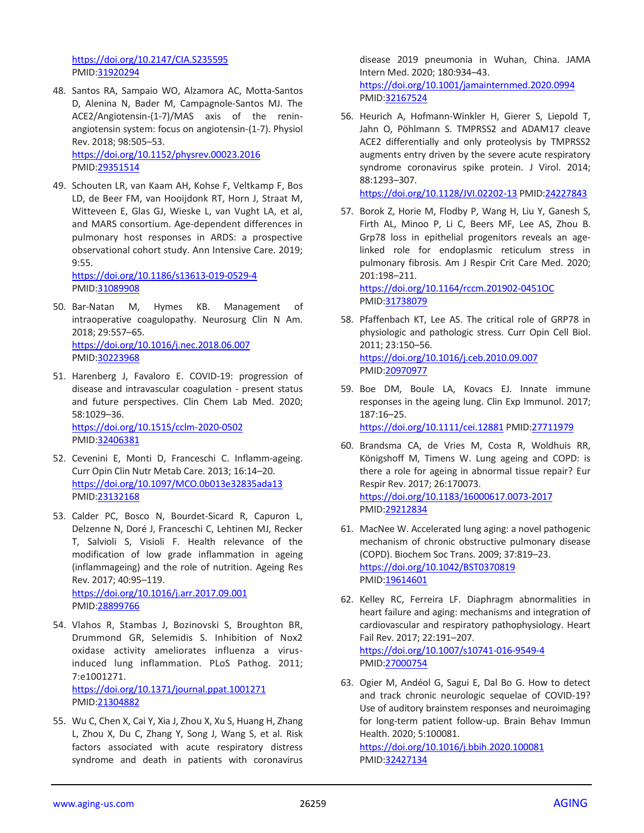<https://doi.org/10.2147/CIA.S235595> PMID[:31920294](https://pubmed.ncbi.nlm.nih.gov/31920294)

48. Santos RA, Sampaio WO, Alzamora AC, Motta-Santos D, Alenina N, Bader M, Campagnole-Santos MJ. The ACE2/Angiotensin-(1-7)/MAS axis of the reninangiotensin system: focus on angiotensin-(1-7). Physiol Rev. 2018; 98:505–53. <https://doi.org/10.1152/physrev.00023.2016>

PMID[:29351514](https://pubmed.ncbi.nlm.nih.gov/29351514)

49. Schouten LR, van Kaam AH, Kohse F, Veltkamp F, Bos LD, de Beer FM, van Hooijdonk RT, Horn J, Straat M, Witteveen E, Glas GJ, Wieske L, van Vught LA, et al, and MARS consortium. Age-dependent differences in pulmonary host responses in ARDS: a prospective observational cohort study. Ann Intensive Care. 2019; 9:55.

<https://doi.org/10.1186/s13613-019-0529-4> PMID[:31089908](https://pubmed.ncbi.nlm.nih.gov/31089908)

- 50. Bar-Natan M, Hymes KB. Management of intraoperative coagulopathy. Neurosurg Clin N Am. 2018; 29:557–65. <https://doi.org/10.1016/j.nec.2018.06.007> PMID[:30223968](https://pubmed.ncbi.nlm.nih.gov/30223968)
- 51. Harenberg J, Favaloro E. COVID-19: progression of disease and intravascular coagulation - present status and future perspectives. Clin Chem Lab Med. 2020; 58:1029–36. <https://doi.org/10.1515/cclm-2020-0502> PMID[:32406381](https://pubmed.ncbi.nlm.nih.gov/32406381)
- 52. Cevenini E, Monti D, Franceschi C. Inflamm-ageing. Curr Opin Clin Nutr Metab Care. 2013; 16:14–20. <https://doi.org/10.1097/MCO.0b013e32835ada13> PMID[:23132168](https://pubmed.ncbi.nlm.nih.gov/23132168)
- 53. Calder PC, Bosco N, Bourdet-Sicard R, Capuron L, Delzenne N, Doré J, Franceschi C, Lehtinen MJ, Recker T, Salvioli S, Visioli F. Health relevance of the modification of low grade inflammation in ageing (inflammageing) and the role of nutrition. Ageing Res Rev. 2017; 40:95–119. <https://doi.org/10.1016/j.arr.2017.09.001> PMID[:28899766](https://pubmed.ncbi.nlm.nih.gov/28899766)
- 54. Vlahos R, Stambas J, Bozinovski S, Broughton BR, Drummond GR, Selemidis S. Inhibition of Nox2 oxidase activity ameliorates influenza a virusinduced lung inflammation. PLoS Pathog. 2011; 7:e1001271. <https://doi.org/10.1371/journal.ppat.1001271> PMID[:21304882](https://pubmed.ncbi.nlm.nih.gov/21304882)
- 55. Wu C, Chen X, Cai Y, Xia J, Zhou X, Xu S, Huang H, Zhang L, Zhou X, Du C, Zhang Y, Song J, Wang S, et al. Risk factors associated with acute respiratory distress syndrome and death in patients with coronavirus

disease 2019 pneumonia in Wuhan, China. JAMA Intern Med. 2020; 180:934–43. <https://doi.org/10.1001/jamainternmed.2020.0994> PMI[D:32167524](https://pubmed.ncbi.nlm.nih.gov/32167524)

56. Heurich A, Hofmann-Winkler H, Gierer S, Liepold T, Jahn O, Pöhlmann S. TMPRSS2 and ADAM17 cleave ACE2 differentially and only proteolysis by TMPRSS2 augments entry driven by the severe acute respiratory syndrome coronavirus spike protein. J Virol. 2014; 88:1293–307.

<https://doi.org/10.1128/JVI.02202-13> PMI[D:24227843](https://pubmed.ncbi.nlm.nih.gov/24227843)

- 57. Borok Z, Horie M, Flodby P, Wang H, Liu Y, Ganesh S, Firth AL, Minoo P, Li C, Beers MF, Lee AS, Zhou B. Grp78 loss in epithelial progenitors reveals an agelinked role for endoplasmic reticulum stress in pulmonary fibrosis. Am J Respir Crit Care Med. 2020; 201:198–211. <https://doi.org/10.1164/rccm.201902-0451OC> PMI[D:31738079](https://pubmed.ncbi.nlm.nih.gov/31738079)
- 58. Pfaffenbach KT, Lee AS. The critical role of GRP78 in physiologic and pathologic stress. Curr Opin Cell Biol. 2011; 23:150–56. <https://doi.org/10.1016/j.ceb.2010.09.007> PMI[D:20970977](https://pubmed.ncbi.nlm.nih.gov/20970977)
- 59. Boe DM, Boule LA, Kovacs EJ. Innate immune responses in the ageing lung. Clin Exp Immunol. 2017; 187:16–25. <https://doi.org/10.1111/cei.12881> PMID[:27711979](https://pubmed.ncbi.nlm.nih.gov/27711979)
- 60. Brandsma CA, de Vries M, Costa R, Woldhuis RR, Königshoff M, Timens W. Lung ageing and COPD: is there a role for ageing in abnormal tissue repair? Eur Respir Rev. 2017; 26:170073. <https://doi.org/10.1183/16000617.0073-2017> PMI[D:29212834](https://pubmed.ncbi.nlm.nih.gov/29212834)
- 61. MacNee W. Accelerated lung aging: a novel pathogenic mechanism of chronic obstructive pulmonary disease (COPD). Biochem Soc Trans. 2009; 37:819–23. <https://doi.org/10.1042/BST0370819> PMI[D:19614601](https://pubmed.ncbi.nlm.nih.gov/19614601)
- 62. Kelley RC, Ferreira LF. Diaphragm abnormalities in heart failure and aging: mechanisms and integration of cardiovascular and respiratory pathophysiology. Heart Fail Rev. 2017; 22:191–207. <https://doi.org/10.1007/s10741-016-9549-4> PMI[D:27000754](https://pubmed.ncbi.nlm.nih.gov/27000754)
- 63. Ogier M, Andéol G, Sagui E, Dal Bo G. How to detect and track chronic neurologic sequelae of COVID-19? Use of auditory brainstem responses and neuroimaging for long-term patient follow-up. Brain Behav Immun Health. 2020; 5:100081.

<https://doi.org/10.1016/j.bbih.2020.100081> PMI[D:32427134](https://pubmed.ncbi.nlm.nih.gov/32427134)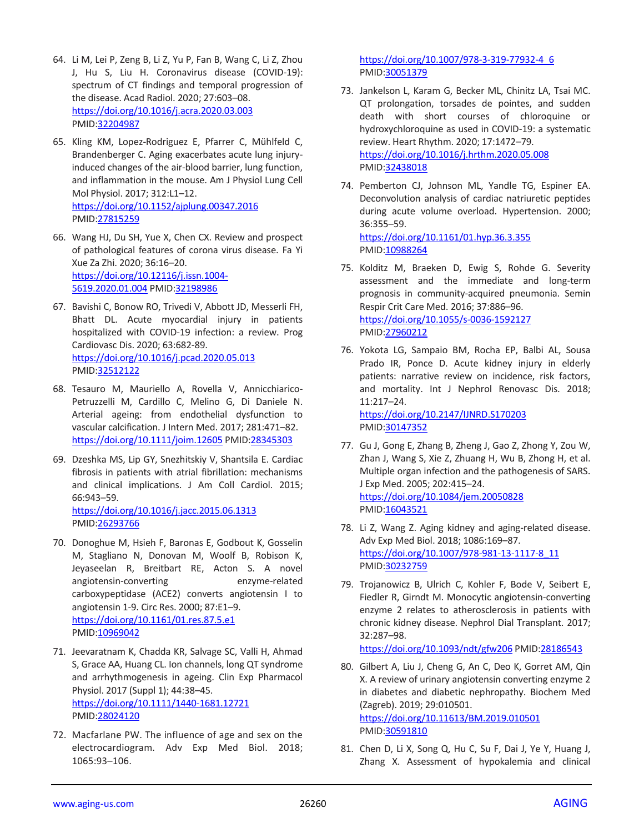- 64. Li M, Lei P, Zeng B, Li Z, Yu P, Fan B, Wang C, Li Z, Zhou J, Hu S, Liu H. Coronavirus disease (COVID-19): spectrum of CT findings and temporal progression of the disease. Acad Radiol. 2020; 27:603–08. <https://doi.org/10.1016/j.acra.2020.03.003> PMID[:32204987](https://pubmed.ncbi.nlm.nih.gov/32204987)
- 65. Kling KM, Lopez-Rodriguez E, Pfarrer C, Mühlfeld C, Brandenberger C. Aging exacerbates acute lung injuryinduced changes of the air-blood barrier, lung function, and inflammation in the mouse. Am J Physiol Lung Cell Mol Physiol. 2017; 312:L1–12. <https://doi.org/10.1152/ajplung.00347.2016> PMID[:27815259](https://pubmed.ncbi.nlm.nih.gov/27815259)
- 66. Wang HJ, Du SH, Yue X, Chen CX. Review and prospect of pathological features of corona virus disease. Fa Yi Xue Za Zhi. 2020; 36:16–20. [https://doi.org/10.12116/j.issn.1004-](https://doi.org/10.12116/j.issn.1004-5619.2020.01.004) [5619.2020.01.004](https://doi.org/10.12116/j.issn.1004-5619.2020.01.004) PMID[:32198986](https://pubmed.ncbi.nlm.nih.gov/32198986)
- 67. Bavishi C, Bonow RO, Trivedi V, Abbott JD, Messerli FH, Bhatt DL. Acute myocardial injury in patients hospitalized with COVID-19 infection: a review. Prog Cardiovasc Dis. 2020; 63:682-89. <https://doi.org/10.1016/j.pcad.2020.05.013> PMID[:32512122](https://pubmed.ncbi.nlm.nih.gov/32512122)
- 68. Tesauro M, Mauriello A, Rovella V, Annicchiarico-Petruzzelli M, Cardillo C, Melino G, Di Daniele N. Arterial ageing: from endothelial dysfunction to vascular calcification. J Intern Med. 2017; 281:471–82. <https://doi.org/10.1111/joim.12605> PMID[:28345303](https://pubmed.ncbi.nlm.nih.gov/28345303)
- 69. Dzeshka MS, Lip GY, Snezhitskiy V, Shantsila E. Cardiac fibrosis in patients with atrial fibrillation: mechanisms and clinical implications. J Am Coll Cardiol. 2015; 66:943–59.

<https://doi.org/10.1016/j.jacc.2015.06.1313> PMID[:26293766](https://pubmed.ncbi.nlm.nih.gov/26293766)

- 70. Donoghue M, Hsieh F, Baronas E, Godbout K, Gosselin M, Stagliano N, Donovan M, Woolf B, Robison K, Jeyaseelan R, Breitbart RE, Acton S. A novel angiotensin-converting enzyme-related carboxypeptidase (ACE2) converts angiotensin I to angiotensin 1-9. Circ Res. 2000; 87:E1–9. <https://doi.org/10.1161/01.res.87.5.e1> PMID[:10969042](https://pubmed.ncbi.nlm.nih.gov/10969042)
- 71. Jeevaratnam K, Chadda KR, Salvage SC, Valli H, Ahmad S, Grace AA, Huang CL. Ion channels, long QT syndrome and arrhythmogenesis in ageing. Clin Exp Pharmacol Physiol. 2017 (Suppl 1); 44:38–45. <https://doi.org/10.1111/1440-1681.12721> PMID[:28024120](https://pubmed.ncbi.nlm.nih.gov/28024120)
- 72. Macfarlane PW. The influence of age and sex on the electrocardiogram. Adv Exp Med Biol. 2018; 1065:93–106.

[https://doi.org/10.1007/978-3-319-77932-4\\_6](https://doi.org/10.1007/978-3-319-77932-4_6) PMI[D:30051379](https://pubmed.ncbi.nlm.nih.gov/30051379)

- 73. Jankelson L, Karam G, Becker ML, Chinitz LA, Tsai MC. QT prolongation, torsades de pointes, and sudden death with short courses of chloroquine or hydroxychloroquine as used in COVID-19: a systematic review. Heart Rhythm. 2020; 17:1472–79. <https://doi.org/10.1016/j.hrthm.2020.05.008> PMI[D:32438018](https://pubmed.ncbi.nlm.nih.gov/32438018)
- 74. Pemberton CJ, Johnson ML, Yandle TG, Espiner EA. Deconvolution analysis of cardiac natriuretic peptides during acute volume overload. Hypertension. 2000; 36:355–59. <https://doi.org/10.1161/01.hyp.36.3.355>

PMI[D:10988264](https://pubmed.ncbi.nlm.nih.gov/10988264)

- 75. Kolditz M, Braeken D, Ewig S, Rohde G. Severity assessment and the immediate and long-term prognosis in community-acquired pneumonia. Semin Respir Crit Care Med. 2016; 37:886–96. <https://doi.org/10.1055/s-0036-1592127> PMI[D:27960212](https://pubmed.ncbi.nlm.nih.gov/27960212)
- 76. Yokota LG, Sampaio BM, Rocha EP, Balbi AL, Sousa Prado IR, Ponce D. Acute kidney injury in elderly patients: narrative review on incidence, risk factors, and mortality. Int J Nephrol Renovasc Dis. 2018; 11:217–24. <https://doi.org/10.2147/IJNRD.S170203>

PMI[D:30147352](https://pubmed.ncbi.nlm.nih.gov/30147352)

- 77. Gu J, Gong E, Zhang B, Zheng J, Gao Z, Zhong Y, Zou W, Zhan J, Wang S, Xie Z, Zhuang H, Wu B, Zhong H, et al. Multiple organ infection and the pathogenesis of SARS. J Exp Med. 2005; 202:415–24. <https://doi.org/10.1084/jem.20050828> PMI[D:16043521](https://pubmed.ncbi.nlm.nih.gov/16043521)
- 78. Li Z, Wang Z. Aging kidney and aging-related disease. Adv Exp Med Biol. 2018; 1086:169–87. [https://doi.org/10.1007/978-981-13-1117-8\\_11](https://doi.org/10.1007/978-981-13-1117-8_11) PMI[D:30232759](https://pubmed.ncbi.nlm.nih.gov/30232759)
- 79. Trojanowicz B, Ulrich C, Kohler F, Bode V, Seibert E, Fiedler R, Girndt M. Monocytic angiotensin-converting enzyme 2 relates to atherosclerosis in patients with chronic kidney disease. Nephrol Dial Transplant. 2017; 32:287–98.

<https://doi.org/10.1093/ndt/gfw206> PMID[:28186543](https://pubmed.ncbi.nlm.nih.gov/28186543)

- 80. Gilbert A, Liu J, Cheng G, An C, Deo K, Gorret AM, Qin X. A review of urinary angiotensin converting enzyme 2 in diabetes and diabetic nephropathy. Biochem Med (Zagreb). 2019; 29:010501. <https://doi.org/10.11613/BM.2019.010501> PMI[D:30591810](https://pubmed.ncbi.nlm.nih.gov/30591810)
- 81. Chen D, Li X, Song Q, Hu C, Su F, Dai J, Ye Y, Huang J, Zhang X. Assessment of hypokalemia and clinical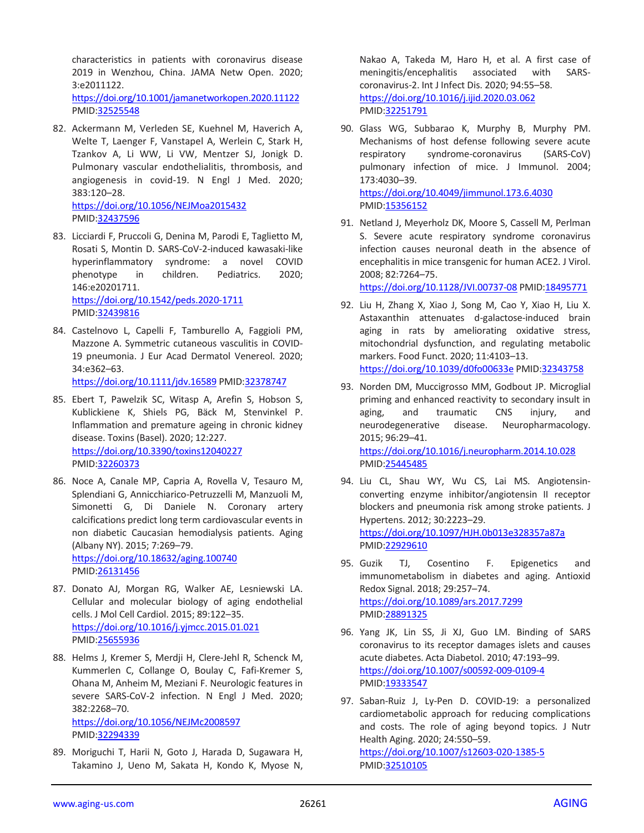characteristics in patients with coronavirus disease 2019 in Wenzhou, China. JAMA Netw Open. 2020; 3:e2011122. <https://doi.org/10.1001/jamanetworkopen.2020.11122> PMID[:32525548](https://pubmed.ncbi.nlm.nih.gov/32525548)

82. Ackermann M, Verleden SE, Kuehnel M, Haverich A, Welte T, Laenger F, Vanstapel A, Werlein C, Stark H, Tzankov A, Li WW, Li VW, Mentzer SJ, Jonigk D. Pulmonary vascular endothelialitis, thrombosis, and angiogenesis in covid-19. N Engl J Med. 2020; 383:120–28.

<https://doi.org/10.1056/NEJMoa2015432> PMID[:32437596](https://pubmed.ncbi.nlm.nih.gov/32437596)

- 83. Licciardi F, Pruccoli G, Denina M, Parodi E, Taglietto M, Rosati S, Montin D. SARS-CoV-2-induced kawasaki-like hyperinflammatory syndrome: a novel COVID phenotype in children. Pediatrics. 2020; 146:e20201711. <https://doi.org/10.1542/peds.2020-1711> PMID[:32439816](https://pubmed.ncbi.nlm.nih.gov/32439816)
- 84. Castelnovo L, Capelli F, Tamburello A, Faggioli PM, Mazzone A. Symmetric cutaneous vasculitis in COVID-19 pneumonia. J Eur Acad Dermatol Venereol. 2020; 34:e362–63.

<https://doi.org/10.1111/jdv.16589> PMID[:32378747](https://pubmed.ncbi.nlm.nih.gov/32378747)

- 85. Ebert T, Pawelzik SC, Witasp A, Arefin S, Hobson S, Kublickiene K, Shiels PG, Bäck M, Stenvinkel P. Inflammation and premature ageing in chronic kidney disease. Toxins (Basel). 2020; 12:227. <https://doi.org/10.3390/toxins12040227> PMID[:32260373](https://pubmed.ncbi.nlm.nih.gov/32260373)
- 86. Noce A, Canale MP, Capria A, Rovella V, Tesauro M, Splendiani G, Annicchiarico-Petruzzelli M, Manzuoli M, Simonetti G, Di Daniele N. Coronary artery calcifications predict long term cardiovascular events in non diabetic Caucasian hemodialysis patients. Aging (Albany NY). 2015; 7:269–79. <https://doi.org/10.18632/aging.100740> PMID[:26131456](https://pubmed.ncbi.nlm.nih.gov/26131456)
- 87. Donato AJ, Morgan RG, Walker AE, Lesniewski LA. Cellular and molecular biology of aging endothelial cells. J Mol Cell Cardiol. 2015; 89:122–35. <https://doi.org/10.1016/j.yjmcc.2015.01.021> PMID[:25655936](https://pubmed.ncbi.nlm.nih.gov/25655936)
- 88. Helms J, Kremer S, Merdji H, Clere-Jehl R, Schenck M, Kummerlen C, Collange O, Boulay C, Fafi-Kremer S, Ohana M, Anheim M, Meziani F. Neurologic features in severe SARS-CoV-2 infection. N Engl J Med. 2020; 382:2268–70.

<https://doi.org/10.1056/NEJMc2008597> PMID[:32294339](https://pubmed.ncbi.nlm.nih.gov/32294339)

89. Moriguchi T, Harii N, Goto J, Harada D, Sugawara H, Takamino J, Ueno M, Sakata H, Kondo K, Myose N,

Nakao A, Takeda M, Haro H, et al. A first case of meningitis/encephalitis associated with SARScoronavirus-2. Int J Infect Dis. 2020; 94:55–58. <https://doi.org/10.1016/j.ijid.2020.03.062> PMI[D:32251791](https://pubmed.ncbi.nlm.nih.gov/32251791)

- 90. Glass WG, Subbarao K, Murphy B, Murphy PM. Mechanisms of host defense following severe acute respiratory syndrome-coronavirus (SARS-CoV) pulmonary infection of mice. J Immunol. 2004; 173:4030–39. <https://doi.org/10.4049/jimmunol.173.6.4030> PMI[D:15356152](https://pubmed.ncbi.nlm.nih.gov/15356152)
- 91. Netland J, Meyerholz DK, Moore S, Cassell M, Perlman S. Severe acute respiratory syndrome coronavirus infection causes neuronal death in the absence of encephalitis in mice transgenic for human ACE2. J Virol. 2008; 82:7264–75.

<https://doi.org/10.1128/JVI.00737-08> PMI[D:18495771](https://pubmed.ncbi.nlm.nih.gov/18495771)

- 92. Liu H, Zhang X, Xiao J, Song M, Cao Y, Xiao H, Liu X. Astaxanthin attenuates d-galactose-induced brain aging in rats by ameliorating oxidative stress, mitochondrial dysfunction, and regulating metabolic markers. Food Funct. 2020; 11:4103–13. <https://doi.org/10.1039/d0fo00633e> PMID[:32343758](https://pubmed.ncbi.nlm.nih.gov/32343758)
- 93. Norden DM, Muccigrosso MM, Godbout JP. Microglial priming and enhanced reactivity to secondary insult in aging, and traumatic CNS injury, and neurodegenerative disease. Neuropharmacology. 2015; 96:29–41. <https://doi.org/10.1016/j.neuropharm.2014.10.028> PMI[D:25445485](https://pubmed.ncbi.nlm.nih.gov/25445485)
- 94. Liu CL, Shau WY, Wu CS, Lai MS. Angiotensinconverting enzyme inhibitor/angiotensin II receptor blockers and pneumonia risk among stroke patients. J Hypertens. 2012; 30:2223–29. <https://doi.org/10.1097/HJH.0b013e328357a87a> PMI[D:22929610](https://pubmed.ncbi.nlm.nih.gov/22929610)
- 95. Guzik TJ, Cosentino F. Epigenetics and immunometabolism in diabetes and aging. Antioxid Redox Signal. 2018; 29:257–74. <https://doi.org/10.1089/ars.2017.7299> PMI[D:28891325](https://pubmed.ncbi.nlm.nih.gov/28891325)
- 96. Yang JK, Lin SS, Ji XJ, Guo LM. Binding of SARS coronavirus to its receptor damages islets and causes acute diabetes. Acta Diabetol. 2010; 47:193–99. <https://doi.org/10.1007/s00592-009-0109-4> PMI[D:19333547](https://pubmed.ncbi.nlm.nih.gov/19333547)
- 97. Saban-Ruiz J, Ly-Pen D. COVID-19: a personalized cardiometabolic approach for reducing complications and costs. The role of aging beyond topics. J Nutr Health Aging. 2020; 24:550–59. <https://doi.org/10.1007/s12603-020-1385-5> PMI[D:32510105](https://pubmed.ncbi.nlm.nih.gov/32510105)